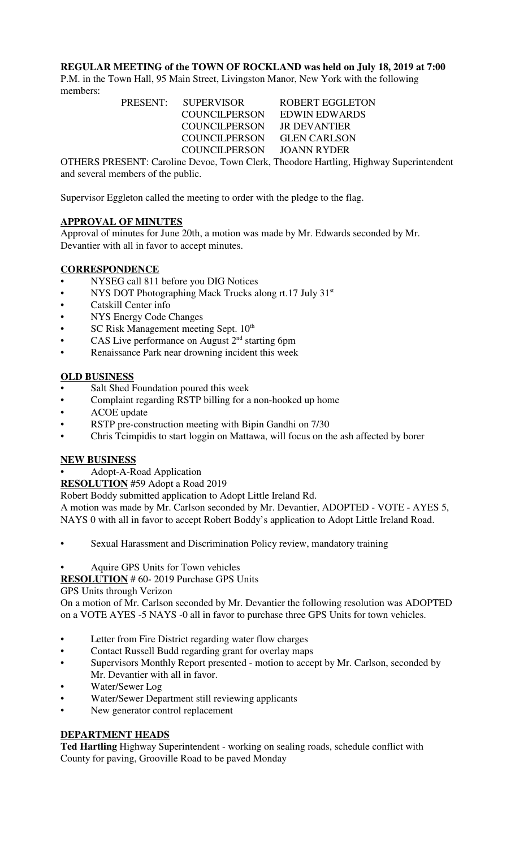**REGULAR MEETING of the TOWN OF ROCKLAND was held on July 18, 2019 at 7:00**

P.M. in the Town Hall, 95 Main Street, Livingston Manor, New York with the following members:

> PRESENT: SUPERVISOR ROBERT EGGLETON COUNCILPERSON EDWIN EDWARDS COUNCILPERSON JR DEVANTIER COUNCILPERSON GLEN CARLSON COUNCILPERSON JOANN RYDER

OTHERS PRESENT: Caroline Devoe, Town Clerk, Theodore Hartling, Highway Superintendent and several members of the public.

Supervisor Eggleton called the meeting to order with the pledge to the flag.

# **APPROVAL OF MINUTES**

Approval of minutes for June 20th, a motion was made by Mr. Edwards seconded by Mr. Devantier with all in favor to accept minutes.

### **CORRESPONDENCE**

- NYSEG call 811 before you DIG Notices
- NYS DOT Photographing Mack Trucks along rt.17 July 31<sup>st</sup>
- Catskill Center info
- NYS Energy Code Changes
- SC Risk Management meeting Sept. 10<sup>th</sup>
- CAS Live performance on August  $2<sup>nd</sup>$  starting 6pm
- Renaissance Park near drowning incident this week

### **OLD BUSINESS**

- Salt Shed Foundation poured this week
- Complaint regarding RSTP billing for a non-hooked up home
- ACOE update
- RSTP pre-construction meeting with Bipin Gandhi on 7/30
- Chris Tcimpidis to start loggin on Mattawa, will focus on the ash affected by borer

#### **NEW BUSINESS**

• Adopt-A-Road Application

**RESOLUTION** #59 Adopt a Road 2019

Robert Boddy submitted application to Adopt Little Ireland Rd.

A motion was made by Mr. Carlson seconded by Mr. Devantier, ADOPTED - VOTE - AYES 5, NAYS 0 with all in favor to accept Robert Boddy's application to Adopt Little Ireland Road.

- Sexual Harassment and Discrimination Policy review, mandatory training
- Aquire GPS Units for Town vehicles

**RESOLUTION** # 60- 2019 Purchase GPS Units

#### GPS Units through Verizon

On a motion of Mr. Carlson seconded by Mr. Devantier the following resolution was ADOPTED on a VOTE AYES -5 NAYS -0 all in favor to purchase three GPS Units for town vehicles.

- Letter from Fire District regarding water flow charges
- Contact Russell Budd regarding grant for overlay maps
- Supervisors Monthly Report presented motion to accept by Mr. Carlson, seconded by Mr. Devantier with all in favor.
- Water/Sewer Log
- Water/Sewer Department still reviewing applicants
- New generator control replacement

# **DEPARTMENT HEADS**

**Ted Hartling** Highway Superintendent - working on sealing roads, schedule conflict with County for paving, Grooville Road to be paved Monday